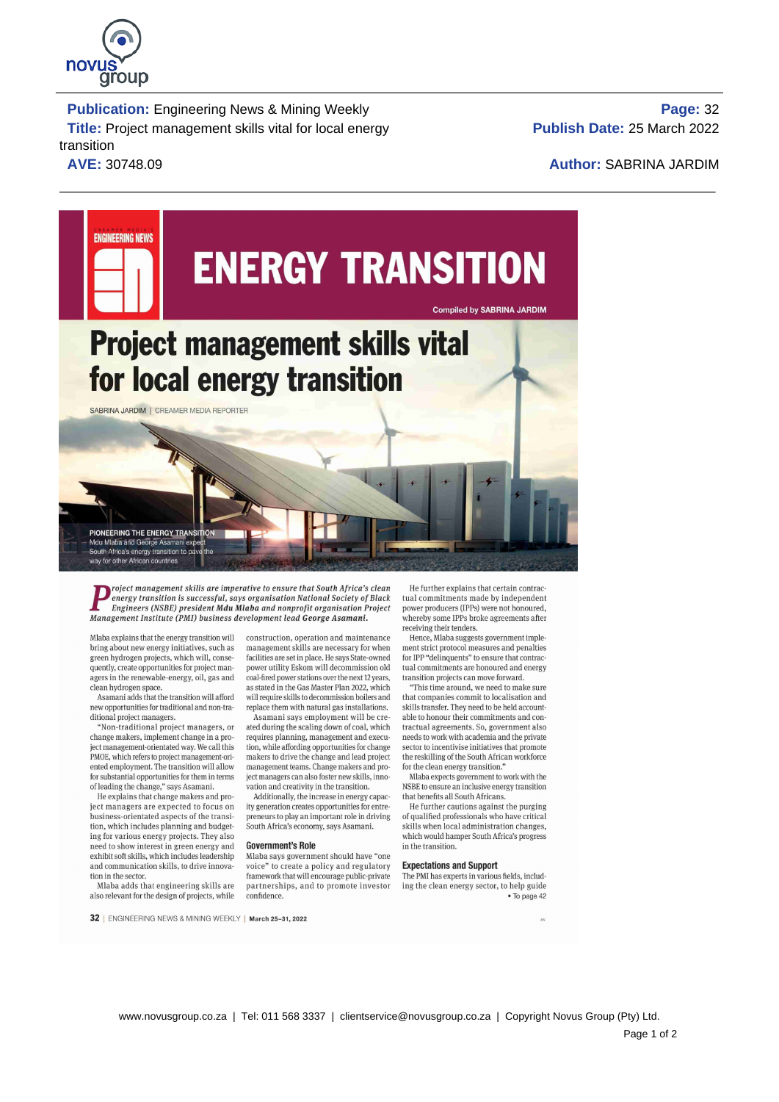

 **Publication:** Engineering News & Mining Weekly **Page:** 32 **Title:** Project management skills vital for local energy transition **AVE:** 30748.09 **Author:** SABRINA JARDIM

**Publish Date:** 25 March 2022



roject management skills are imperative to ensure that South Africa's clean He further explains that certain contraction is successful, says organisation National Society of Black tual commitments made by independent and t Management Institute (PMI) business development lead George Asamani. whereby some lPPs broke agreements after

bring about new energy initiatives, such as management skills are necessary for when ment strict protocol measures and penalties green hydrogen projects, which will, conse-facilities are set in place. He says State-owned f green hydrogen projects, which will, conse-<br>quently, create opportunities for project man-<br>quently, create opportunities for project man-<br>power utility Eskom will decommission old tual commitments are honoured and energy

new opportunities for traditional and non-tra- replace them with natural gas installations. skills transfer. They need to be held account-

change makers, implement change in a pro- requires planning, management and execu- needs to work with academia and the private iect management-orientated way. We call this tion, while affording opportunities for change sec ject management-orientated way. We call this tion, while affording opportunities for change sector to incentivise initiatives that promote PMOE, which refers to project management-ori-<br>PMOE, which refers to project managem PMOE, which refers to project management-ori- makers to drive the change and lead project the reskilling of the South African ented employment. The transition will allow management teams. Change makers and pro- for the cle ented employment. The transition will allow management teams. Change makers and pro-<br>for substantial opportunities for them in terms eiger managers can also foster new skills. innofor substantial opportunities for them in terms ject managers can also foster new skills, inno~ Mlaba expects government to work with the

ing for various energy projects. They also  $\frac{1}{2}$  **Government's Role** which would hand need to show interest in green energy and  $\frac{1}{2}$  **Government's Role** in the transition. need to show interest in green energy and Government's Role<br>exhibit soft skills, which includes leadership Mlaba says government should have "one exhibit soft skills, which includes leadership<br>and communication skills, to drive innova-

also relevant for the design of projects, while

Mlaba explains that the energy transition will construction, operation and maintenance power utility Eskom will decommission old tual commitments are honoured and coal-fired power stations over the next 12 years. transition projects can move forward. agers in the renewable-energy, oil, gas and coal-fired power stations over the next 12 years, transition projects can move forward.<br>clean hydrogen space. as stated in the Gas Master Plan 2022, which "This time around, we n ean hydrogen space. as stated in the Gas Master Plan 2022, which "This time around, we need to make sure Asamani adds that the transition will afford will require skills to decommission boilers and that companies commit to will require skills to decommission boilers and

ated during the scaling down of coal, which

He explains that change makers and pro-<br>  $\mu$  Additionally, the increase in energy capac- that benefits all South Africans.<br>  $\mu$  and  $\mu$  and  $\mu$  and  $\mu$  and  $\mu$  and  $\mu$  and  $\mu$  and  $\mu$  and  $\mu$  and  $\mu$  and  $\mu$  an ject managers are expected to focus on ity generation creates opportunities for entre- He further cautions against the purging business-orientated aspects of the transi- preneurs to play an important role in driving of qualied professionals who have critical

voice" to create a policy and regulatory Expectations and Support tion in the sector. framework that will encourage public-private The PMI has experts in various fields, includ-<br>Mlaba adds that engineering skills are partnerships, and to promote investor ing the clean energy sector, to h

receiving their tenders.<br>Hence, Mlaba suggests government imple-

dional project managers. Asamani says employment will be cre-able to honour their commitments and con-<br>Won-traditional project managers, or ated during the scaling down of coal, which tractual agreements. So, government al

of the change in the change of the change of the change of an inclusive energy transition Additionally, the increase in energy capac-<br>Additionally, the increase in energy capac-<br>that benefits all South Africans.

tion, which includes planning and budget-<br>ing for various energy projects. They also<br>states of the seconomy, says Asamani. They also which would hamper South Africa's progress

partnerships, and to promote investor ing the clean energy sector, to help guide<br>confidence.  $\bullet$  To page 42

32 | ENGINEERING NEWS & MINING WEEKLY | March 25-31, 2022